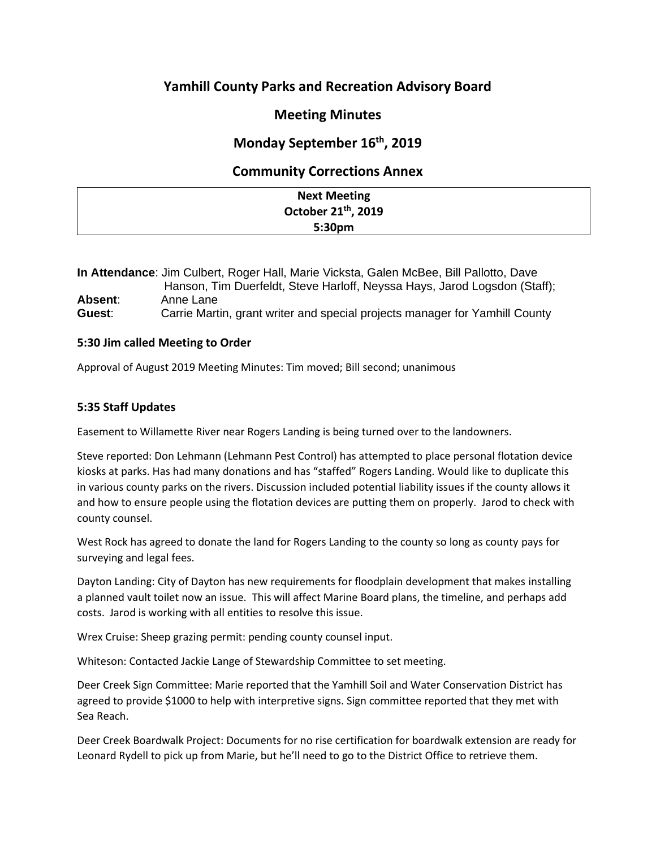# **Yamhill County Parks and Recreation Advisory Board**

## **Meeting Minutes**

## **Monday September 16th, 2019**

### **Community Corrections Annex**

| <b>Next Meeting</b>             |  |
|---------------------------------|--|
| October 21 <sup>th</sup> , 2019 |  |
| 5:30pm                          |  |

**In Attendance**: Jim Culbert, Roger Hall, Marie Vicksta, Galen McBee, Bill Pallotto, Dave Hanson, Tim Duerfeldt, Steve Harloff, Neyssa Hays, Jarod Logsdon (Staff); **Absent**: Anne Lane **Guest**: Carrie Martin, grant writer and special projects manager for Yamhill County

#### **5:30 Jim called Meeting to Order**

Approval of August 2019 Meeting Minutes: Tim moved; Bill second; unanimous

#### **5:35 Staff Updates**

Easement to Willamette River near Rogers Landing is being turned over to the landowners.

Steve reported: Don Lehmann (Lehmann Pest Control) has attempted to place personal flotation device kiosks at parks. Has had many donations and has "staffed" Rogers Landing. Would like to duplicate this in various county parks on the rivers. Discussion included potential liability issues if the county allows it and how to ensure people using the flotation devices are putting them on properly. Jarod to check with county counsel.

West Rock has agreed to donate the land for Rogers Landing to the county so long as county pays for surveying and legal fees.

Dayton Landing: City of Dayton has new requirements for floodplain development that makes installing a planned vault toilet now an issue. This will affect Marine Board plans, the timeline, and perhaps add costs. Jarod is working with all entities to resolve this issue.

Wrex Cruise: Sheep grazing permit: pending county counsel input.

Whiteson: Contacted Jackie Lange of Stewardship Committee to set meeting.

Deer Creek Sign Committee: Marie reported that the Yamhill Soil and Water Conservation District has agreed to provide \$1000 to help with interpretive signs. Sign committee reported that they met with Sea Reach.

Deer Creek Boardwalk Project: Documents for no rise certification for boardwalk extension are ready for Leonard Rydell to pick up from Marie, but he'll need to go to the District Office to retrieve them.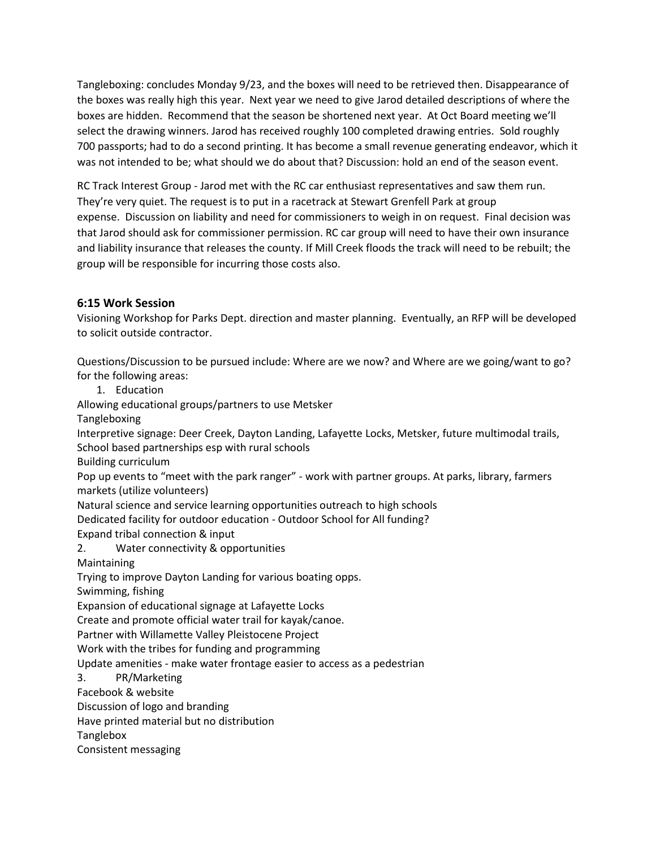Tangleboxing: concludes Monday 9/23, and the boxes will need to be retrieved then. Disappearance of the boxes was really high this year. Next year we need to give Jarod detailed descriptions of where the boxes are hidden. Recommend that the season be shortened next year. At Oct Board meeting we'll select the drawing winners. Jarod has received roughly 100 completed drawing entries. Sold roughly 700 passports; had to do a second printing. It has become a small revenue generating endeavor, which it was not intended to be; what should we do about that? Discussion: hold an end of the season event.

RC Track Interest Group - Jarod met with the RC car enthusiast representatives and saw them run. They're very quiet. The request is to put in a racetrack at Stewart Grenfell Park at group expense. Discussion on liability and need for commissioners to weigh in on request. Final decision was that Jarod should ask for commissioner permission. RC car group will need to have their own insurance and liability insurance that releases the county. If Mill Creek floods the track will need to be rebuilt; the group will be responsible for incurring those costs also.

#### **6:15 Work Session**

Visioning Workshop for Parks Dept. direction and master planning. Eventually, an RFP will be developed to solicit outside contractor.

Questions/Discussion to be pursued include: Where are we now? and Where are we going/want to go? for the following areas:

1. Education

Allowing educational groups/partners to use Metsker

Tangleboxing

Interpretive signage: Deer Creek, Dayton Landing, Lafayette Locks, Metsker, future multimodal trails, School based partnerships esp with rural schools

Building curriculum

Pop up events to "meet with the park ranger" - work with partner groups. At parks, library, farmers markets (utilize volunteers)

Natural science and service learning opportunities outreach to high schools

Dedicated facility for outdoor education - Outdoor School for All funding?

Expand tribal connection & input

2. Water connectivity & opportunities

Maintaining

Trying to improve Dayton Landing for various boating opps.

Swimming, fishing

Expansion of educational signage at Lafayette Locks

Create and promote official water trail for kayak/canoe.

Partner with Willamette Valley Pleistocene Project

Work with the tribes for funding and programming

Update amenities - make water frontage easier to access as a pedestrian

3. PR/Marketing

Facebook & website

Discussion of logo and branding

Have printed material but no distribution

Tanglebox

Consistent messaging